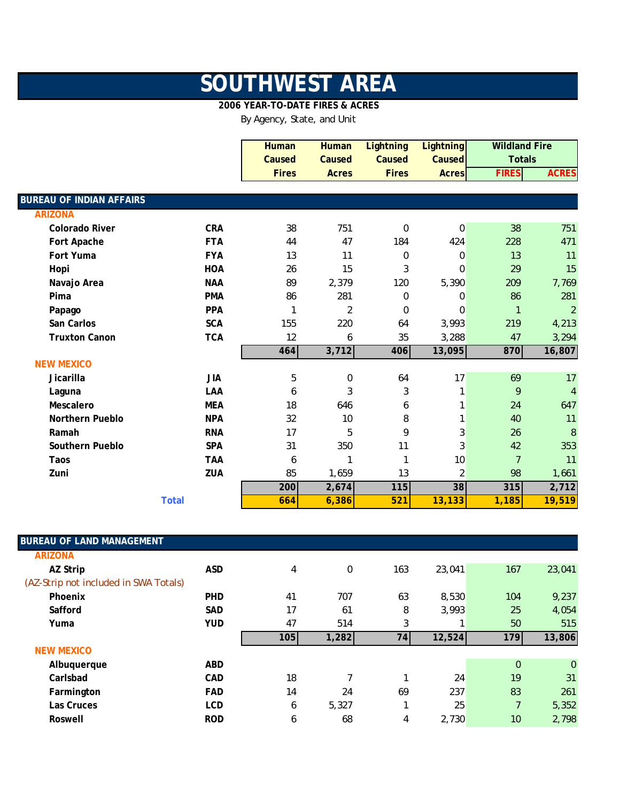## **SOUTHWEST AREA**

## **2006 YEAR-TO-DATE FIRES & ACRES**

By Agency, State, and Unit

|                                 |              | <b>Human</b> | <b>Human</b>     | <b>Lightning</b> | <b>Lightning</b> | <b>Wildland Fire</b> |                |
|---------------------------------|--------------|--------------|------------------|------------------|------------------|----------------------|----------------|
|                                 |              | Caused       | Caused           | Caused           | Caused           | <b>Totals</b>        |                |
|                                 |              | <b>Fires</b> | <b>Acres</b>     | <b>Fires</b>     | <b>Acres</b>     | <b>FIRES</b>         | <b>ACRES</b>   |
|                                 |              |              |                  |                  |                  |                      |                |
| <b>BUREAU OF INDIAN AFFAIRS</b> |              |              |                  |                  |                  |                      |                |
| <b>ARIZONA</b>                  |              |              |                  |                  |                  |                      |                |
| <b>Colorado River</b>           | <b>CRA</b>   | 38           | 751              | $\mathbf 0$      | 0                | 38                   | 751            |
| Fort Apache                     | <b>FTA</b>   | 44           | 47               | 184              | 424              | 228                  | 471            |
| Fort Yuma                       | <b>FYA</b>   | 13           | 11               | $\mathbf 0$      | $\mathbf 0$      | 13                   | 11             |
| Hopi                            | <b>HOA</b>   | 26           | 15               | 3                | 0                | 29                   | 15             |
| Navajo Area                     | <b>NAA</b>   | 89           | 2,379            | 120              | 5,390            | 209                  | 7,769          |
| Pima                            | <b>PMA</b>   | 86           | 281              | $\mathbf 0$      | 0                | 86                   | 281            |
| Papago                          | <b>PPA</b>   |              | $\overline{2}$   | $\Omega$         | $\Omega$         | $\mathbf{1}$         | $\overline{2}$ |
| San Carlos                      | <b>SCA</b>   | 155          | 220              | 64               | 3,993            | 219                  | 4,213          |
| <b>Truxton Canon</b>            | <b>TCA</b>   | 12           | 6                | 35               | 3,288            | 47                   | 3,294          |
|                                 |              | 464          | 3,712            | 406              | 13,095           | 870                  | 16,807         |
| <b>NEW MEXICO</b>               |              |              |                  |                  |                  |                      |                |
| Jicarilla                       | <b>JIA</b>   | 5            | $\boldsymbol{0}$ | 64               | 17               | 69                   | 17             |
| Laguna                          | LAA          | 6            | 3                | 3                | 1                | 9                    | $\overline{4}$ |
| Mescalero                       | <b>MEA</b>   | 18           | 646              | 6                |                  | 24                   | 647            |
| Northern Pueblo                 | <b>NPA</b>   | 32           | 10               | 8                |                  | 40                   | 11             |
| Ramah                           | <b>RNA</b>   | 17           | 5                | 9                | $\mathbf{3}$     | 26                   | 8              |
| Southern Pueblo                 | <b>SPA</b>   | 31           | 350              | 11               | 3                | 42                   | 353            |
| Taos                            | <b>TAA</b>   | 6            | 1                | 1                | 10               | $\overline{7}$       | 11             |
| Zuni                            | ZUA          | 85           | 1,659            | 13               | $\overline{2}$   | 98                   | 1,661          |
|                                 |              | 200          | 2,674            | $115$            | 38               | 315                  | 2,712          |
|                                 | <b>Total</b> | 664          | 6,386            | 521              | 13,133           | 1,185                | 19,519         |

| <b>BUREAU OF LAND MANAGEMENT</b>      |            |     |       |     |        |              |                |
|---------------------------------------|------------|-----|-------|-----|--------|--------------|----------------|
| <b>ARIZONA</b>                        |            |     |       |     |        |              |                |
| AZ Strip                              | <b>ASD</b> | 4   | 0     | 163 | 23,041 | 167          | 23,041         |
| (AZ-Strip not included in SWA Totals) |            |     |       |     |        |              |                |
| Phoenix                               | <b>PHD</b> | 41  | 707   | 63  | 8,530  | 104          | 9,237          |
| Safford                               | <b>SAD</b> | 17  | 61    | 8   | 3,993  | 25           | 4,054          |
| Yuma                                  | <b>YUD</b> | 47  | 514   | 3   |        | 50           | 515            |
|                                       |            | 105 | 1,282 | 74I | 12,524 | 179          | 13,806         |
| <b>NEW MEXICO</b>                     |            |     |       |     |        |              |                |
| Albuquerque                           | <b>ABD</b> |     |       |     |        | $\mathbf{0}$ | $\overline{0}$ |
| Carlsbad                              | <b>CAD</b> | 18  |       |     | 24     | 19           | 31             |
| Farmington                            | <b>FAD</b> | 14  | 24    | 69  | 237    | 83           | 261            |
| Las Cruces                            | <b>LCD</b> | 6   | 5,327 | ◀   | 25     | 7            | 5,352          |
| Roswell                               | <b>ROD</b> | 6   | 68    | 4   | 2,730  | 10           | 2,798          |

I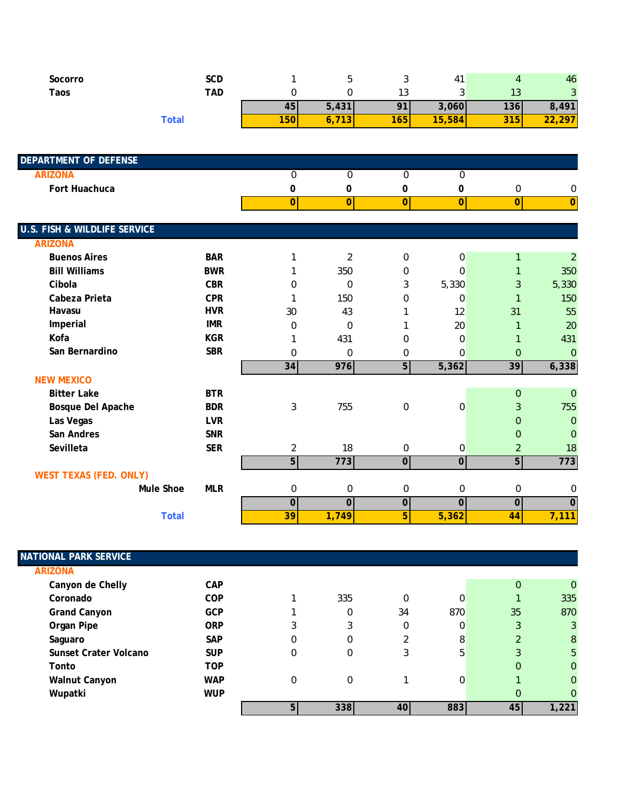| Socorro | SCD               |              |                     | u              | 4      |                    | 46             |
|---------|-------------------|--------------|---------------------|----------------|--------|--------------------|----------------|
| Taos    | TAD               |              |                     | ں ו            | ັ      | د ا                | $\sim$<br>ັ    |
|         |                   | 45,          | 5,431               | O <sub>1</sub> | 3,060  | 136                | 8,491          |
|         | <sup>-</sup> otal | 100<br>750 F | $-1$<br>υ, ι<br>1 J | 165            | 15,584 | <b>04 E</b><br>315 | 297<br><u></u> |

| <b>DEPARTMENT OF DEFENSE</b>            |            |                |                  |                |                  |                  |                |
|-----------------------------------------|------------|----------------|------------------|----------------|------------------|------------------|----------------|
| <b>ARIZONA</b>                          |            | $\mathbf{0}$   | $\overline{0}$   | $\overline{0}$ | $\overline{0}$   |                  |                |
| Fort Huachuca                           |            | 0              | 0                | 0              | 0                | $\pmb{0}$        | 0              |
|                                         |            | $\overline{0}$ | 0                | 0              | $\overline{0}$   | $\overline{0}$   | $\overline{0}$ |
|                                         |            |                |                  |                |                  |                  |                |
| <b>U.S. FISH &amp; WILDLIFE SERVICE</b> |            |                |                  |                |                  |                  |                |
| <b>ARIZONA</b>                          |            |                |                  |                |                  |                  |                |
| <b>Buenos Aires</b>                     | <b>BAR</b> | 1              | $\overline{2}$   | $\mathbf 0$    | 0                |                  | $\overline{2}$ |
| <b>Bill Williams</b>                    | <b>BWR</b> |                | 350              | 0              | $\mathbf 0$      |                  | 350            |
| Cibola                                  | <b>CBR</b> | $\Omega$       | $\mathbf 0$      | 3              | 5,330            | 3                | 5,330          |
| Cabeza Prieta                           | <b>CPR</b> |                | 150              | $\Omega$       | $\mathbf 0$      | $\mathbf{1}$     | 150            |
| Havasu                                  | <b>HVR</b> | 30             | 43               |                | 12               | 31               | 55             |
| Imperial                                | <b>IMR</b> | 0              | $\mathbf 0$      |                | 20               |                  | 20             |
| Kofa                                    | <b>KGR</b> |                | 431              | 0              | $\mathbf 0$      |                  | 431            |
| San Bernardino                          | <b>SBR</b> | 0              | $\mathbf 0$      | 0              | 0                | $\overline{0}$   | $\overline{0}$ |
|                                         |            | 34             | 976              | 5 <sub>l</sub> | 5,362            | 39               | 6,338          |
| <b>NEW MEXICO</b>                       |            |                |                  |                |                  |                  |                |
| <b>Bitter Lake</b>                      | <b>BTR</b> |                |                  |                |                  | $\mathbf{0}$     | $\overline{0}$ |
| Bosque Del Apache                       | <b>BDR</b> | 3              | 755              | $\mathbf 0$    | $\boldsymbol{0}$ | 3                | 755            |
| Las Vegas                               | <b>LVR</b> |                |                  |                |                  | $\overline{0}$   | $\mathbf{0}$   |
| San Andres                              | <b>SNR</b> |                |                  |                |                  | $\overline{0}$   | $\mathbf 0$    |
| Sevilleta                               | <b>SER</b> | $\overline{2}$ | 18               | $\mathbf 0$    | 0                | $\overline{2}$   | 18             |
|                                         |            | 5 <sup>1</sup> | 773              | $\overline{0}$ | $\overline{0}$   | $5\overline{)}$  | 773            |
| <b>WEST TEXAS (FED. ONLY)</b>           |            |                |                  |                |                  |                  |                |
| Mule Shoe                               | <b>MLR</b> | $\pmb{0}$      | $\boldsymbol{0}$ | 0              | 0                | $\boldsymbol{0}$ | 0              |
|                                         |            | $\mathbf 0$    | $\mathbf 0$      | $\mathbf 0$    | 0                | $\mathbf 0$      | $\overline{0}$ |
| <b>Total</b>                            |            | 39             | 1,749            | 5              | 5,362            | 44               | 7,111          |

| <b>NATIONAL PARK SERVICE</b> |            |              |     |                |     |                |                |
|------------------------------|------------|--------------|-----|----------------|-----|----------------|----------------|
| <b>ARIZONA</b>               |            |              |     |                |     |                |                |
| Canyon de Chelly             | CAP        |              |     |                |     | $\overline{0}$ | $\overline{0}$ |
| Coronado                     | <b>COP</b> |              | 335 | 0              | 0   |                | 335            |
| <b>Grand Canyon</b>          | <b>GCP</b> |              | 0   | 34             | 870 | 35             | 870            |
| Organ Pipe                   | <b>ORP</b> | 3            | 3   | 0              | 0   | 3              | 3              |
| Saguaro                      | <b>SAP</b> | 0            | 0   | $\overline{2}$ | 8   | h              | 8              |
| Sunset Crater Volcano        | <b>SUP</b> | 0            | 0   | 3              | 5   | 3              | 5              |
| Tonto                        | <b>TOP</b> |              |     |                |     | 0              | $\mathbf{0}$   |
| <b>Walnut Canyon</b>         | <b>WAP</b> | $\mathbf{0}$ | 0   |                | 0   |                | 0              |
| Wupatki                      | <b>WUP</b> |              |     |                |     | 0              | $\Omega$       |
|                              |            | 5            | 338 | 40             | 883 | 45             | 1,221          |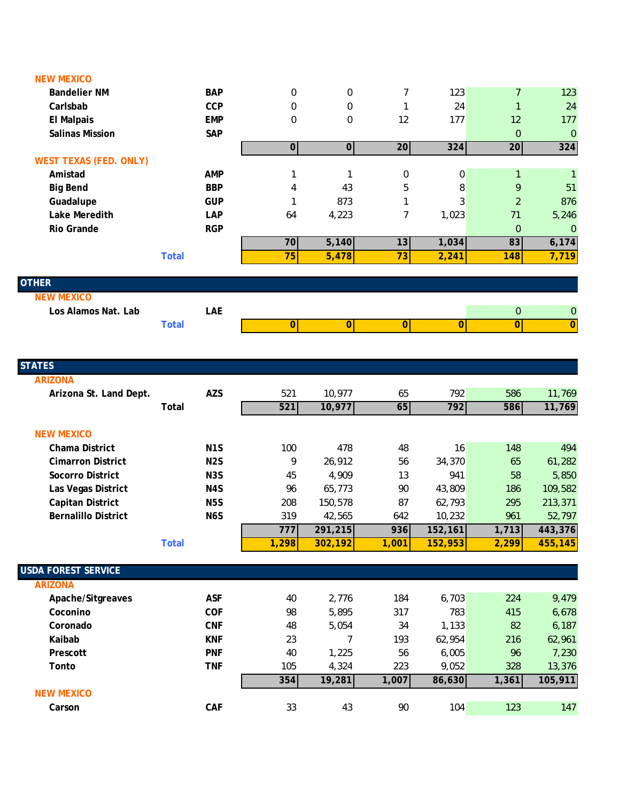| <b>NEW MEXICO</b>             |              |            |                  |                |                |                |                |                |
|-------------------------------|--------------|------------|------------------|----------------|----------------|----------------|----------------|----------------|
| <b>Bandelier NM</b>           |              | <b>BAP</b> | 0                | 0              | 7              | 123            | $\overline{7}$ | 123            |
| Carlsbab                      |              | <b>CCP</b> | 0                | 0              |                | 24             | 1              | 24             |
| <b>El Malpais</b>             |              | <b>EMP</b> | $\boldsymbol{0}$ | 0              | 12             | 177            | 12             | 177            |
| <b>Salinas Mission</b>        |              | <b>SAP</b> |                  |                |                |                | $\overline{0}$ | $\mathbf{0}$   |
|                               |              |            | 0                | $\overline{0}$ | 20             | 324            | 20             | $324$          |
| <b>WEST TEXAS (FED. ONLY)</b> |              |            |                  |                |                |                |                |                |
| Amistad                       |              | <b>AMP</b> |                  |                | $\mathbf 0$    | $\overline{0}$ |                | 1              |
| <b>Big Bend</b>               |              | <b>BBP</b> | 4                | 43             | 5              | 8              | 9              | 51             |
| Guadalupe                     |              | <b>GUP</b> |                  | 873            |                | 3              | $\overline{2}$ | 876            |
| Lake Meredith                 |              | LAP        | 64               | 4,223          | 7              | 1,023          | 71             | 5,246          |
| <b>Rio Grande</b>             |              | <b>RGP</b> |                  |                |                |                | $\overline{0}$ | $\overline{0}$ |
|                               |              |            | 70               | 5,140          | 13             | 1,034          | 83             | 6,174          |
|                               | <b>Total</b> |            | 75               | 5,478          | 73             | 2,241          | 148            | 7,719          |
|                               |              |            |                  |                |                |                |                |                |
| <b>OTHER</b>                  |              |            |                  |                |                |                |                |                |
| <b>NEW MEXICO</b>             |              |            |                  |                |                |                |                |                |
| Los Alamos Nat. Lab           |              | LAE        |                  |                |                |                | $\overline{0}$ | $\mathbf 0$    |
|                               | <b>Total</b> |            | $\Omega$         | $\overline{0}$ | $\overline{0}$ | $\overline{0}$ | $\mathbf{0}$   | $\mathbf 0$    |
|                               |              |            |                  |                |                |                |                |                |

 $\begin{array}{c} \hline \end{array}$ 

| <b>STATES</b>              |                  |       |          |       |         |       |         |
|----------------------------|------------------|-------|----------|-------|---------|-------|---------|
| <b>ARIZONA</b>             |                  |       |          |       |         |       |         |
| Arizona St. Land Dept.     | <b>AZS</b>       | 521   | 10,977   | 65    | 792     | 586   | 11,769  |
|                            | Total            | 521   | 10,977   | 65    | 792     | 586   | 11,769  |
|                            |                  |       |          |       |         |       |         |
| <b>NEW MEXICO</b>          |                  |       |          |       |         |       |         |
| <b>Chama District</b>      | N <sub>1</sub> S | 100   | 478      | 48    | 16      | 148   | 494     |
| <b>Cimarron District</b>   | N <sub>2</sub> S | 9     | 26,912   | 56    | 34,370  | 65    | 61,282  |
| Socorro District           | N <sub>3</sub> S | 45    | 4,909    | 13    | 941     | 58    | 5,850   |
| Las Vegas District         | N4S              | 96    | 65,773   | 90    | 43,809  | 186   | 109,582 |
| Capitan District           | N <sub>5</sub> S | 208   | 150,578  | 87    | 62,793  | 295   | 213,371 |
| <b>Bernalillo District</b> | N6S              | 319   | 42,565   | 642   | 10,232  | 961   | 52,797  |
|                            |                  | 777   | 291,215  | 936   | 152,161 | 1,713 | 443,376 |
|                            | <b>Total</b>     | 1,298 | 302, 192 | 1,001 | 152,953 | 2,299 | 455,145 |
|                            |                  |       |          |       |         |       |         |
| <b>USDA FOREST SERVICE</b> |                  |       |          |       |         |       |         |
| <b>ARIZONA</b>             |                  |       |          |       |         |       |         |
| Apache/Sitgreaves          | <b>ASF</b>       | 40    | 2,776    | 184   | 6,703   | 224   | 9,479   |
| Coconino                   | <b>COF</b>       | 98    | 5,895    | 317   | 783     | 415   | 6,678   |
| Coronado                   | <b>CNF</b>       | 48    | 5,054    | 34    | 1,133   | 82    | 6,187   |
| Kaibab                     | <b>KNF</b>       | 23    | 7        | 193   | 62,954  | 216   | 62,961  |
| Prescott                   | <b>PNF</b>       | 40    | 1,225    | 56    | 6,005   | 96    | 7,230   |
| Tonto                      | <b>TNF</b>       | 105   | 4,324    | 223   | 9,052   | 328   | 13,376  |
|                            |                  | 354   | 19,281   | 1,007 | 86,630  | 1,361 | 105,911 |
| <b>NEW MEXICO</b>          |                  |       |          |       |         |       |         |
| Carson                     | CAF              | 33    | 43       | 90    | 104     | 123   | 147     |